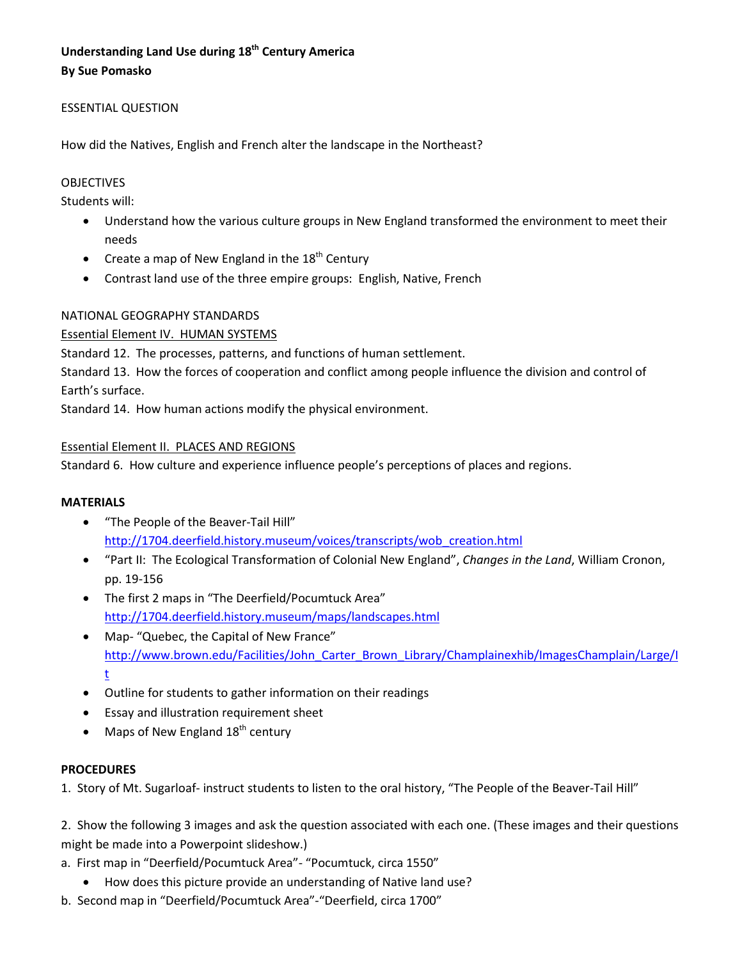# **Understanding Land Use during 18th Century America By Sue Pomasko**

# ESSENTIAL QUESTION

How did the Natives, English and French alter the landscape in the Northeast?

#### **OBJECTIVES**

Students will:

- Understand how the various culture groups in New England transformed the environment to meet their needs
- Create a map of New England in the  $18<sup>th</sup>$  Century
- Contrast land use of the three empire groups: English, Native, French

# NATIONAL GEOGRAPHY STANDARDS

# Essential Element IV. HUMAN SYSTEMS

Standard 12. The processes, patterns, and functions of human settlement.

Standard 13. How the forces of cooperation and conflict among people influence the division and control of Earth's surface.

Standard 14. How human actions modify the physical environment.

# Essential Element II. PLACES AND REGIONS

Standard 6. How culture and experience influence people's perceptions of places and regions.

#### **MATERIALS**

- "The People of the Beaver-Tail Hill" [http://1704.deerfield.history.museum/voices/transcripts/wob\\_creation.html](http://1704.deerfield.history.museum/voices/transcripts/wob_creation.html)
- "Part II: The Ecological Transformation of Colonial New England", *Changes in the Land*, William Cronon, pp. 19-156
- The first 2 maps in "The Deerfield/Pocumtuck Area" <http://1704.deerfield.history.museum/maps/landscapes.html>
- Map- "Quebec, the Capital of New France" [http://www.brown.edu/Facilities/John\\_Carter\\_Brown\\_Library/Champlainexhib/ImagesChamplain/Large/I](http://www.brown.edu/Facilities/John_Carter_Brown_Library/Champlainexhib/ImagesChamplain/Large/It) [t](http://www.brown.edu/Facilities/John_Carter_Brown_Library/Champlainexhib/ImagesChamplain/Large/It)
- Outline for students to gather information on their readings
- Essay and illustration requirement sheet
- Maps of New England  $18<sup>th</sup>$  century

#### **PROCEDURES**

1. Story of Mt. Sugarloaf- instruct students to listen to the oral history, "The People of the Beaver-Tail Hill"

2. Show the following 3 images and ask the question associated with each one. (These images and their questions might be made into a Powerpoint slideshow.)

- a. First map in "Deerfield/Pocumtuck Area"- "Pocumtuck, circa 1550"
	- How does this picture provide an understanding of Native land use?
- b. Second map in "Deerfield/Pocumtuck Area"-"Deerfield, circa 1700"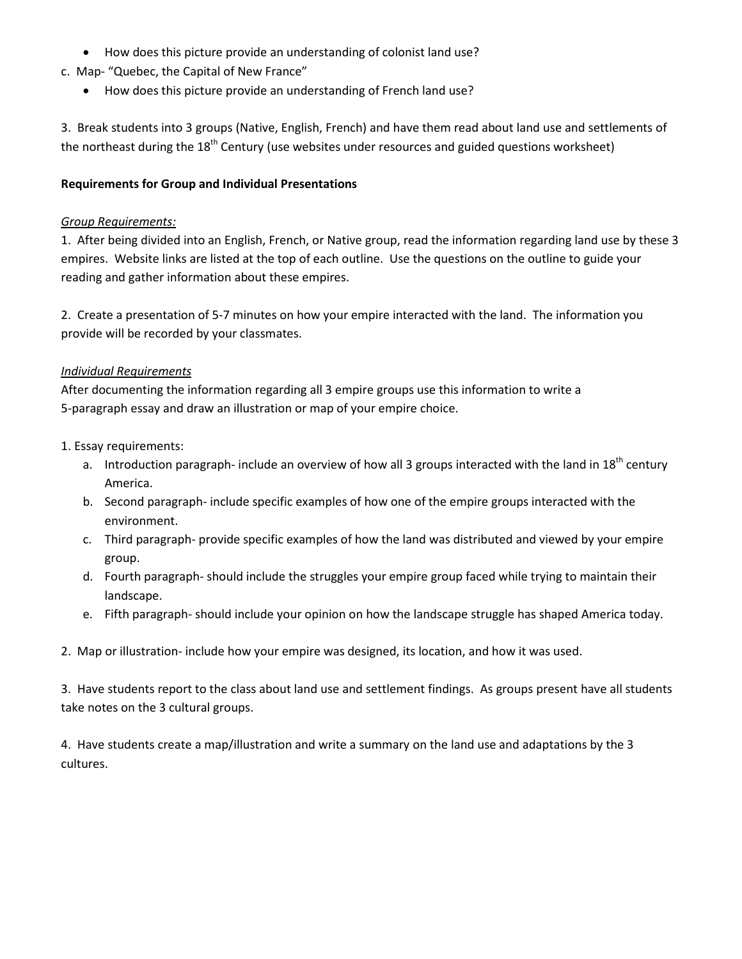- How does this picture provide an understanding of colonist land use?
- c. Map- "Quebec, the Capital of New France"
	- How does this picture provide an understanding of French land use?

3. Break students into 3 groups (Native, English, French) and have them read about land use and settlements of the northeast during the 18<sup>th</sup> Century (use websites under resources and guided questions worksheet)

# **Requirements for Group and Individual Presentations**

# *Group Requirements:*

1. After being divided into an English, French, or Native group, read the information regarding land use by these 3 empires. Website links are listed at the top of each outline. Use the questions on the outline to guide your reading and gather information about these empires.

2. Create a presentation of 5-7 minutes on how your empire interacted with the land. The information you provide will be recorded by your classmates.

# *Individual Requirements*

After documenting the information regarding all 3 empire groups use this information to write a 5-paragraph essay and draw an illustration or map of your empire choice.

1. Essay requirements:

- a. Introduction paragraph- include an overview of how all 3 groups interacted with the land in  $18^{th}$  century America.
- b. Second paragraph- include specific examples of how one of the empire groups interacted with the environment.
- c. Third paragraph- provide specific examples of how the land was distributed and viewed by your empire group.
- d. Fourth paragraph- should include the struggles your empire group faced while trying to maintain their landscape.
- e. Fifth paragraph- should include your opinion on how the landscape struggle has shaped America today.

2. Map or illustration- include how your empire was designed, its location, and how it was used.

3. Have students report to the class about land use and settlement findings. As groups present have all students take notes on the 3 cultural groups.

4. Have students create a map/illustration and write a summary on the land use and adaptations by the 3 cultures.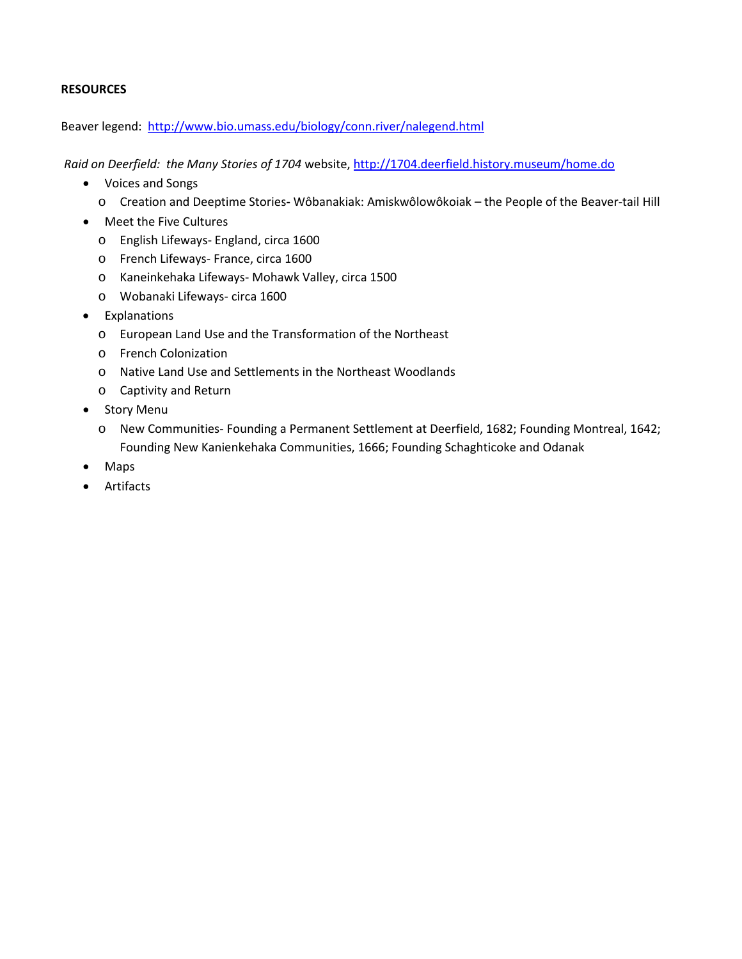# **RESOURCES**

Beaver legend: <http://www.bio.umass.edu/biology/conn.river/nalegend.html>

*Raid on Deerfield: the Many Stories of 1704* website[, http://1704.deerfield.history.museum/home.do](http://1704.deerfield.history.museum/home.do)

- Voices and Songs
	- o Creation and Deeptime Stories**-** Wôbanakiak: Amiskwôlowôkoiak the People of the Beaver-tail Hill
- Meet the Five Cultures
	- o English Lifeways- England, circa 1600
	- o French Lifeways- France, circa 1600
	- o Kaneinkehaka Lifeways- Mohawk Valley, circa 1500
	- o Wobanaki Lifeways- circa 1600
- Explanations
	- o European Land Use and the Transformation of the Northeast
	- o French Colonization
	- o Native Land Use and Settlements in the Northeast Woodlands
	- o Captivity and Return
- Story Menu
	- o New Communities- Founding a Permanent Settlement at Deerfield, 1682; Founding Montreal, 1642; Founding New Kanienkehaka Communities, 1666; Founding Schaghticoke and Odanak
- Maps
- Artifacts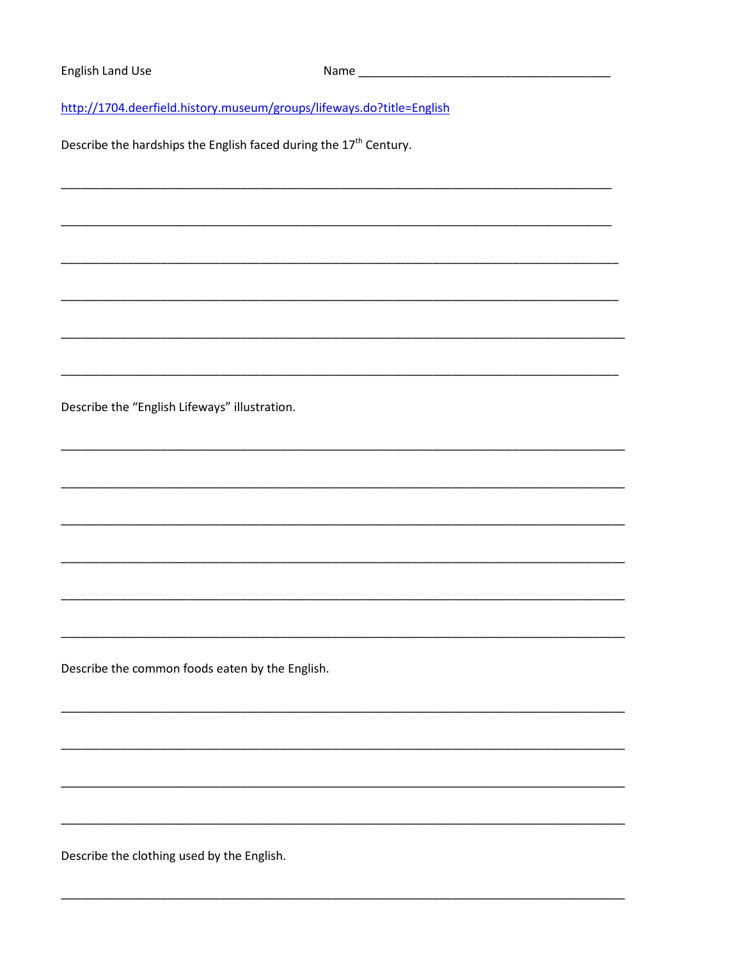http://1704.deerfield.history.museum/groups/lifeways.do?title=English

Describe the hardships the English faced during the 17<sup>th</sup> Century.

Describe the "English Lifeways" illustration.

Describe the common foods eaten by the English.

Describe the clothing used by the English.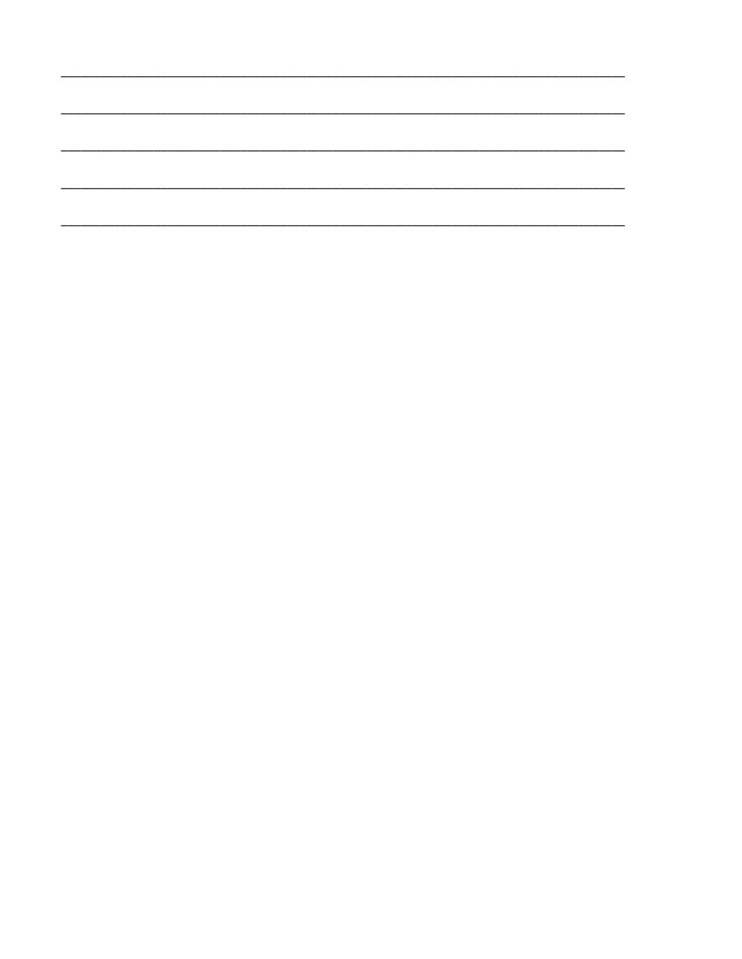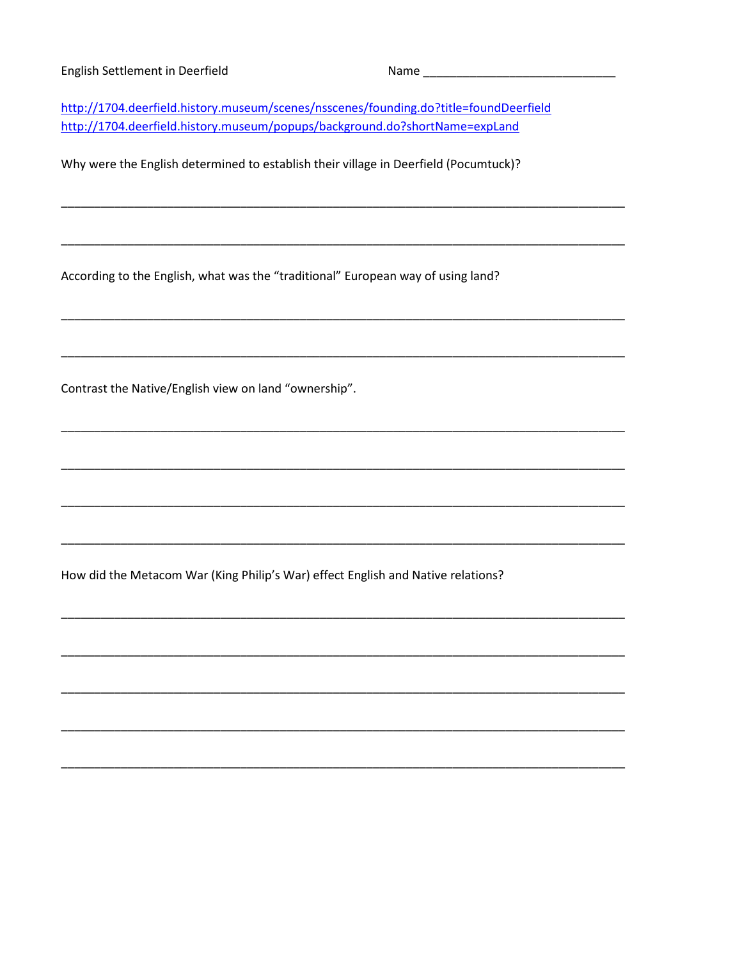http://1704.deerfield.history.museum/scenes/nsscenes/founding.do?title=foundDeerfield http://1704.deerfield.history.museum/popups/background.do?shortName=expLand

Why were the English determined to establish their village in Deerfield (Pocumtuck)?

According to the English, what was the "traditional" European way of using land?

Contrast the Native/English view on land "ownership".

How did the Metacom War (King Philip's War) effect English and Native relations?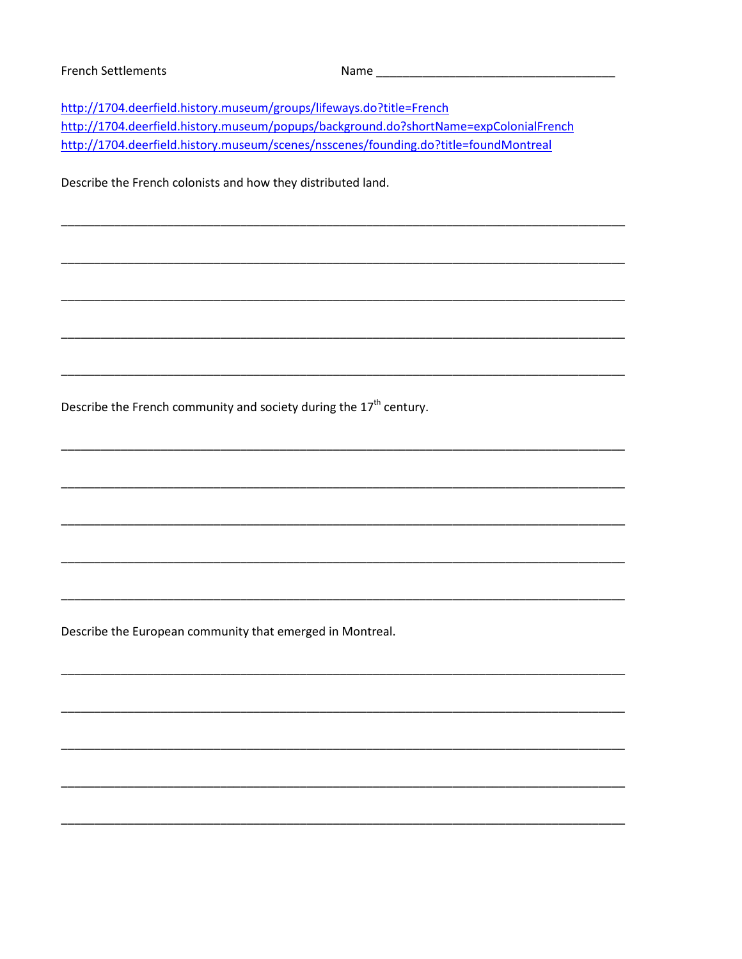http://1704.deerfield.history.museum/groups/lifeways.do?title=French http://1704.deerfield.history.museum/popups/background.do?shortName=expColonialFrench http://1704.deerfield.history.museum/scenes/nsscenes/founding.do?title=foundMontreal

Describe the French colonists and how they distributed land.

Describe the French community and society during the  $17^{\text{th}}$  century.

Describe the European community that emerged in Montreal.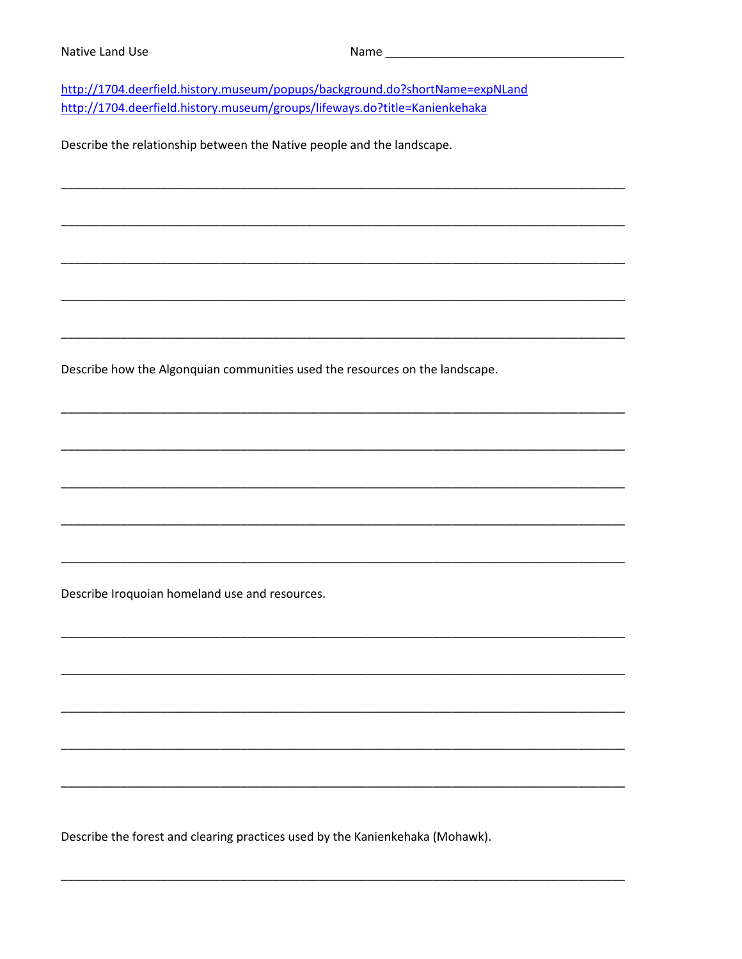http://1704.deerfield.history.museum/popups/background.do?shortName=expNLand http://1704.deerfield.history.museum/groups/lifeways.do?title=Kanienkehaka

Describe the relationship between the Native people and the landscape.

Describe how the Algonquian communities used the resources on the landscape.

Describe Iroquoian homeland use and resources.

Describe the forest and clearing practices used by the Kanienkehaka (Mohawk).